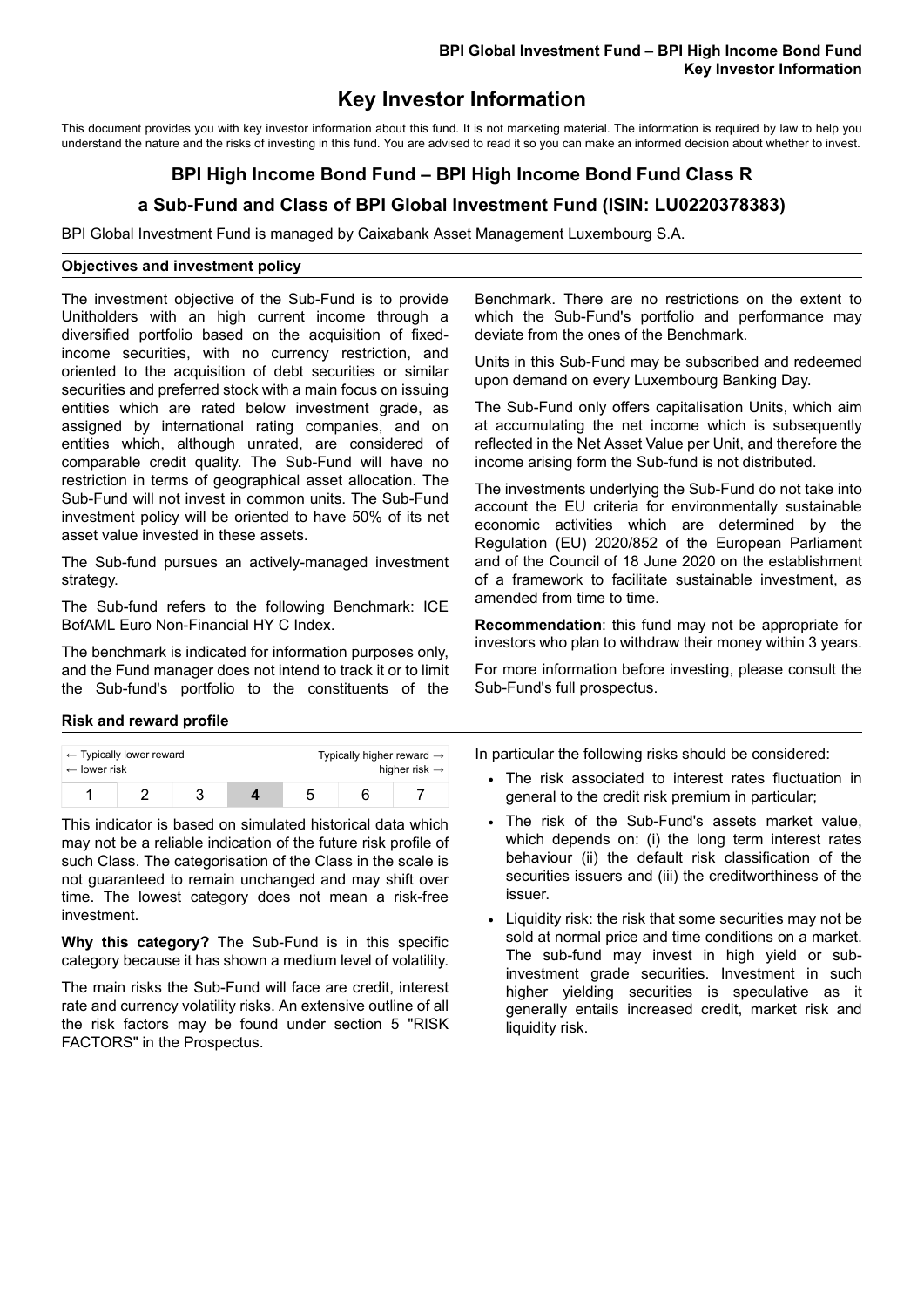## **Key Investor Information**

This document provides you with key investor information about this fund. It is not marketing material. The information is required by law to help you understand the nature and the risks of investing in this fund. You are advised to read it so you can make an informed decision about whether to invest.

# **BPI High Income Bond Fund – BPI High Income Bond Fund Class R**

## **a Sub-Fund and Class of BPI Global Investment Fund (ISIN: LU0220378383)**

BPI Global Investment Fund is managed by Caixabank Asset Management Luxembourg S.A.

#### **Objectives and investment policy**

The investment objective of the Sub-Fund is to provide Unitholders with an high current income through a diversified portfolio based on the acquisition of fixedincome securities, with no currency restriction, and oriented to the acquisition of debt securities or similar securities and preferred stock with a main focus on issuing entities which are rated below investment grade, as assigned by international rating companies, and on entities which, although unrated, are considered of comparable credit quality. The Sub-Fund will have no restriction in terms of geographical asset allocation. The Sub-Fund will not invest in common units. The Sub-Fund investment policy will be oriented to have 50% of its net asset value invested in these assets.

The Sub-fund pursues an actively-managed investment strategy.

The Sub-fund refers to the following Benchmark: ICE BofAML Euro Non-Financial HY C Index.

The benchmark is indicated for information purposes only, and the Fund manager does not intend to track it or to limit the Sub-fund's portfolio to the constituents of the

Benchmark. There are no restrictions on the extent to which the Sub-Fund's portfolio and performance may deviate from the ones of the Benchmark.

Units in this Sub-Fund may be subscribed and redeemed upon demand on every Luxembourg Banking Day.

The Sub-Fund only offers capitalisation Units, which aim at accumulating the net income which is subsequently reflected in the Net Asset Value per Unit, and therefore the income arising form the Sub-fund is not distributed.

The investments underlying the Sub-Fund do not take into account the EU criteria for environmentally sustainable economic activities which are determined by the Regulation (EU) 2020/852 of the European Parliament and of the Council of 18 June 2020 on the establishment of a framework to facilitate sustainable investment, as amended from time to time.

**Recommendation**: this fund may not be appropriate for investors who plan to withdraw their money within 3 years.

For more information before investing, please consult the Sub-Fund's full prospectus.

### **Risk and reward profile**

| $\leftarrow$ Typically lower reward |  |  |  | Typically higher reward $\rightarrow$ |  |  |
|-------------------------------------|--|--|--|---------------------------------------|--|--|
| $\leftarrow$ lower risk             |  |  |  | higher risk $\rightarrow$             |  |  |
|                                     |  |  |  |                                       |  |  |

This indicator is based on simulated historical data which may not be a reliable indication of the future risk profile of such Class. The categorisation of the Class in the scale is not guaranteed to remain unchanged and may shift over time. The lowest category does not mean a risk-free investment.

**Why this category?** The Sub-Fund is in this specific category because it has shown a medium level of volatility.

The main risks the Sub-Fund will face are credit, interest rate and currency volatility risks. An extensive outline of all the risk factors may be found under section 5 "RISK FACTORS" in the Prospectus.

In particular the following risks should be considered:

- The risk associated to interest rates fluctuation in general to the credit risk premium in particular;
- The risk of the Sub-Fund's assets market value, which depends on: (i) the long term interest rates behaviour (ii) the default risk classification of the securities issuers and (iii) the creditworthiness of the issuer.
- Liquidity risk: the risk that some securities may not be sold at normal price and time conditions on a market. The sub-fund may invest in high yield or subinvestment grade securities. Investment in such higher yielding securities is speculative as it generally entails increased credit, market risk and liquidity risk.